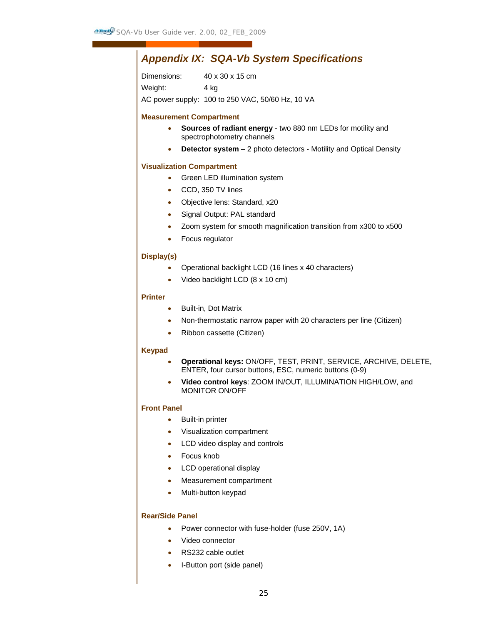# *Appendix IX: SQA-Vb System Specifications*

Dimensions: 40 x 30 x 15 cm

Weight: 4 kg

AC power supply: 100 to 250 VAC, 50/60 Hz, 10 VA

# **Measurement Compartment**

- **Sources of radiant energy** two 880 nm LEDs for motility and spectrophotometry channels
- **Detector system** 2 photo detectors Motility and Optical Density

# **Visualization Compartment**

- Green LED illumination system
- CCD, 350 TV lines
- Objective lens: Standard, x20
- Signal Output: PAL standard
- Zoom system for smooth magnification transition from x300 to x500
- Focus regulator

# **Display(s)**

- Operational backlight LCD (16 lines x 40 characters)
- Video backlight LCD (8 x 10 cm)

# **Printer**

- Built-in, Dot Matrix
- Non-thermostatic narrow paper with 20 characters per line (Citizen)
- Ribbon cassette (Citizen)

# **Keypad**

- **Operational keys:** ON/OFF, TEST, PRINT, SERVICE, ARCHIVE, DELETE, ENTER, four cursor buttons, ESC, numeric buttons (0-9)
- **Video control keys**: ZOOM IN/OUT, ILLUMINATION HIGH/LOW, and MONITOR ON/OFF

# **Front Panel**

- Built-in printer
- Visualization compartment
- LCD video display and controls
- Focus knob
- LCD operational display
- Measurement compartment
- Multi-button keypad

# **Rear/Side Panel**

- Power connector with fuse-holder (fuse 250V, 1A)
- Video connector
- RS232 cable outlet
- I-Button port (side panel)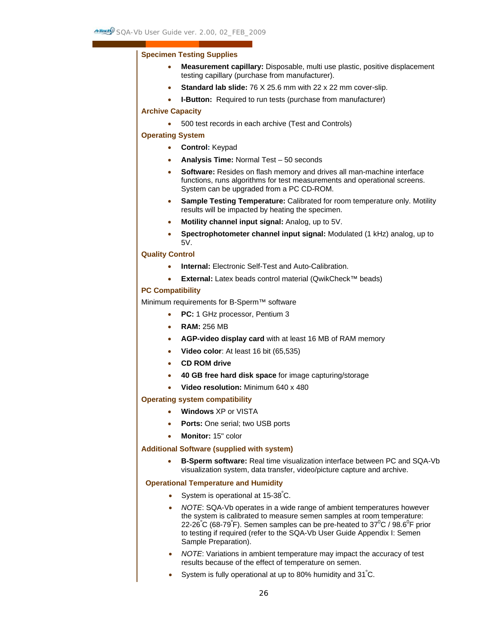#### **Specimen Testing Supplies**

- **Measurement capillary:** Disposable, multi use plastic, positive displacement testing capillary (purchase from manufacturer).
- **Standard lab slide:** 76 X 25.6 mm with 22 x 22 mm cover-slip.
- **I-Button:** Required to run tests (purchase from manufacturer)

#### **Archive Capacity**

• 500 test records in each archive (Test and Controls)

#### **Operating System**

- **Control:** Keypad
- **Analysis Time:** Normal Test 50 seconds
- **Software:** Resides on flash memory and drives all man-machine interface functions, runs algorithms for test measurements and operational screens. System can be upgraded from a PC CD-ROM.
- **Sample Testing Temperature:** Calibrated for room temperature only. Motility results will be impacted by heating the specimen.
- **Motility channel input signal:** Analog, up to 5V.
- **Spectrophotometer channel input signal:** Modulated (1 kHz) analog, up to 5V.

#### **Quality Control**

- **Internal:** Electronic Self-Test and Auto-Calibration.
- **External:** Latex beads control material (QwikCheck™ beads)

#### **PC Compatibility**

Minimum requirements for B-Sperm™ software

- **PC:** 1 GHz processor, Pentium 3
- **RAM:** 256 MB
- **AGP-video display card** with at least 16 MB of RAM memory
- **Video color**: At least 16 bit (65,535)
- **CD ROM drive**
- **40 GB free hard disk space** for image capturing/storage
- **Video resolution:** Minimum 640 x 480

#### **Operating system compatibility**

- **Windows** XP or VISTA
- **Ports:** One serial; two USB ports
- **Monitor:** 15" color

#### **Additional Software (supplied with system)**

• **B-Sperm software:** Real time visualization interface between PC and SQA-Vb visualization system, data transfer, video/picture capture and archive.

#### **Operational Temperature and Humidity**

- System is operational at 15-38°C.
- *NOTE*: SQA-Vb operates in a wide range of ambient temperatures however the system is calibrated to measure semen samples at room temperature: 22-26°C (68-79°F). Semen samples can be pre-heated to 37°C / 98.6°F prior to testing if required (refer to the SQA-Vb User Guide Appendix I: Semen Sample Preparation).
- *NOTE*: Variations in ambient temperature may impact the accuracy of test results because of the effect of temperature on semen.
- System is fully operational at up to 80% humidity and  $31^{\circ}$ C.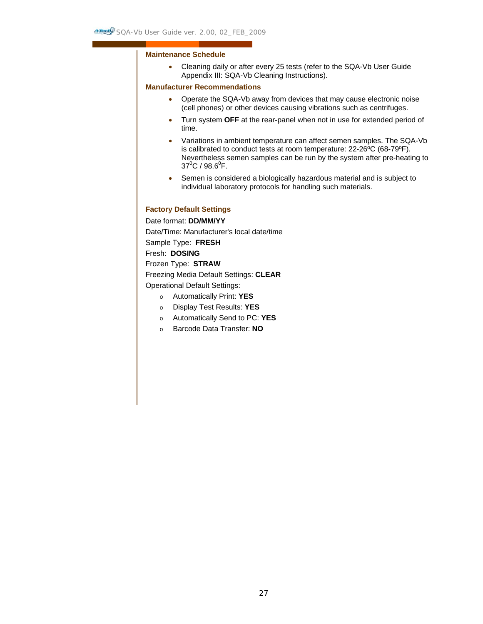# **Maintenance Schedule**

• Cleaning daily or after every 25 tests (refer to the SQA-Vb User Guide Appendix III: SQA-Vb Cleaning Instructions).

# **Manufacturer Recommendations**

- Operate the SQA-Vb away from devices that may cause electronic noise (cell phones) or other devices causing vibrations such as centrifuges.
- Turn system **OFF** at the rear-panel when not in use for extended period of time.
- Variations in ambient temperature can affect semen samples. The SQA-Vb is calibrated to conduct tests at room temperature: 22-26ºC (68-79ºF). Nevertheless semen samples can be run by the system after pre-heating to  $37^{\circ}$ C / 98.6 $^{\circ}$ F.
- Semen is considered a biologically hazardous material and is subject to individual laboratory protocols for handling such materials.

# **Factory Default Settings**

Date format: **DD/MM/YY** 

Date/Time: Manufacturer's local date/time

Sample Type: **FRESH** 

Fresh: **DOSING** 

Frozen Type: **STRAW**

Freezing Media Default Settings: **CLEAR** 

Operational Default Settings:

- o Automatically Print: **YES**
- o Display Test Results: **YES**
- o Automatically Send to PC: **YES**
- o Barcode Data Transfer: **NO**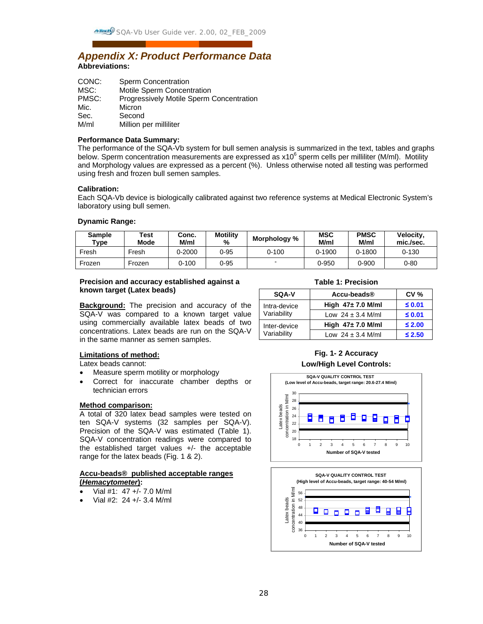# *Appendix X: Product Performance Data* **Abbreviations:**

| CONC: | <b>Sperm Concentration</b>               |
|-------|------------------------------------------|
| MSC:  | Motile Sperm Concentration               |
| PMSC: | Progressively Motile Sperm Concentration |
| Mic.  | Micron                                   |
| Sec.  | Second                                   |
| M/ml  | Million per milliliter                   |
|       |                                          |

### **Performance Data Summary:**

The performance of the SQA-Vb system for bull semen analysis is summarized in the text, tables and graphs below. Sperm concentration measurements are expressed as x10<sup>6</sup> sperm cells per milliliter (M/ml). Motility and Morphology values are expressed as a percent (%). Unless otherwise noted all testing was performed using fresh and frozen bull semen samples.

#### **Calibration:**

Each SQA-Vb device is biologically calibrated against two reference systems at Medical Electronic System's laboratory using bull semen.

#### **Dynamic Range:**

| <b>Sample</b><br>$T$ ype | Test<br>Mode | Conc.<br>M/ml | <b>Motility</b><br>% | Morphology %             | <b>MSC</b><br>M/ml | <b>PMSC</b><br>M/ml | Velocity,<br>mic./sec. |
|--------------------------|--------------|---------------|----------------------|--------------------------|--------------------|---------------------|------------------------|
| Fresh                    | Fresh        | $0 - 2000$    | $0 - 95$             | 0-100                    | $0-1900$           | 0-1800              | $0 - 130$              |
| Frozen                   | Frozen       | 0-100         | $0 - 95$             | $\overline{\phantom{0}}$ | 0-950              | 0-900               | $0 - 80$               |

# **Precision and accuracy established against a known target (Latex beads)**

**Background:** The precision and accuracy of the SQA-V was compared to a known target value using commercially available latex beads of two concentrations. Latex beads are run on the SQA-V in the same manner as semen samples.

| SQA-V        | Accu-beads®            | <b>CV %</b> |
|--------------|------------------------|-------------|
| Intra-device | High $47 \pm 7.0$ M/ml | $≤$ 0.01    |
| Variability  | Low $24 \pm 3.4$ M/ml  | $\leq 0.01$ |
| Inter-device | High $47 \pm 7.0$ M/ml | $\leq 2.00$ |
| Variability  | Low $24 \pm 3.4$ M/ml  | $\leq 2.50$ |

# **Limitations of method:**

Latex beads cannot:

- Measure sperm motility or morphology
- Correct for inaccurate chamber depths or technician errors

#### **Method comparison:**

A total of 320 latex bead samples were tested on ten SQA-V systems (32 samples per SQA-V). Precision of the SQA-V was estimated (Table 1). SQA-V concentration readings were compared to the established target values +/- the acceptable range for the latex beads (Fig. 1 & 2).

#### **Accu-beads® published acceptable ranges (***Hemacytometer***):**

- Vial #1: 47 +/- 7.0 M/ml
- Vial #2: 24 +/- 3.4 M/ml

# **Fig. 1- 2 Accuracy Low/High Level Controls:**



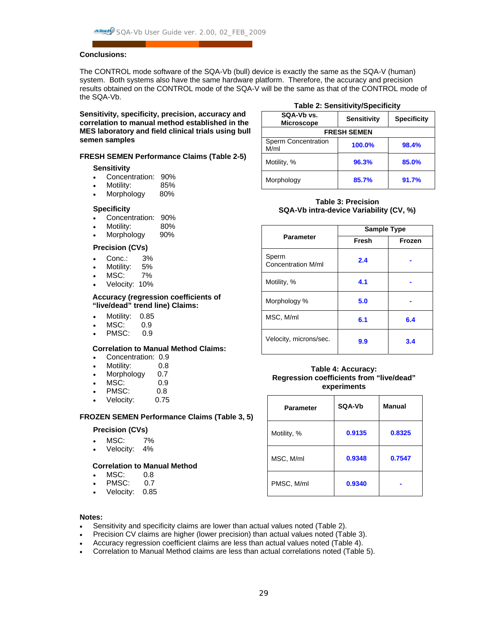# **Conclusions:**

The CONTROL mode software of the SQA-Vb (bull) device is exactly the same as the SQA-V (human) system. Both systems also have the same hardware platform. Therefore, the accuracy and precision results obtained on the CONTROL mode of the SQA-V will be the same as that of the CONTROL mode of the SQA-Vb.

**Sensitivity, specificity, precision, accuracy and correlation to manual method established in the MES laboratory and field clinical trials using bull semen samples** 

#### **FRESH SEMEN Performance Claims (Table 2-5)**

#### **Sensitivity**

- Concentration: 90%
- Motility: 85%
- Morphology 80%

#### **Specificity**

- Concentration: 90%
- Motility: 80%
- Morphology 90%

#### **Precision (CVs)**

- Conc.: 3%
- Motility: 5%
- MSC: 7%
- Velocity: 10%

#### **Accuracy (regression coefficients of "live/dead" trend line) Claims:**

- Motility: 0.85
- MSC: 0.9<br>PMSC: 0.9
- PMSC:

# **Correlation to Manual Method Claims:**

- Concentration: 0.9
- Motility: 0.8
- Morphology 0.7
- MSC: 0.9
- PMSC: 0.8
- Velocity: 0.75

#### **FROZEN SEMEN Performance Claims (Table 3, 5)**

#### **Precision (CVs)**

- MSC: 7%
- Velocity: 4%

#### **Correlation to Manual Method**

- MSC: 0.8
- PMSC: 0.7
- Velocity: 0.85

#### **Table 2: Sensitivity/Specificity**

| SQA-Vb vs.<br><b>Microscope</b> | <b>Sensitivity</b> | <b>Specificity</b> |  |
|---------------------------------|--------------------|--------------------|--|
| <b>FRESH SEMEN</b>              |                    |                    |  |
| Sperm Concentration<br>M/ml     | 100.0%             | 98.4%              |  |
| Motility, %                     | 96.3%              | 85.0%              |  |
| Morphology                      | 85.7%              | 91.7%              |  |

### **Table 3: Precision SQA-Vb intra-device Variability (CV, %)**

|                             | <b>Sample Type</b> |        |  |
|-----------------------------|--------------------|--------|--|
| <b>Parameter</b>            | Fresh              | Frozen |  |
| Sperm<br>Concentration M/ml | 2.4                |        |  |
| Motility, %                 | 4.1                |        |  |
| Morphology %                | 5.0                |        |  |
| MSC, M/ml                   | 6.1                | 6.4    |  |
| Velocity, microns/sec.      | 9.9                | 3.4    |  |

#### **Table 4: Accuracy: Regression coefficients from "live/dead" experiments**

| <b>Parameter</b> | SQA-Vb | <b>Manual</b> |
|------------------|--------|---------------|
| Motility, %      | 0.9135 | 0.8325        |
| MSC, M/ml        | 0.9348 | 0.7547        |
| PMSC, M/ml       | 0.9340 |               |

### **Notes:**

- Sensitivity and specificity claims are lower than actual values noted (Table 2).
- Precision CV claims are higher (lower precision) than actual values noted (Table 3).
- Accuracy regression coefficient claims are less than actual values noted (Table 4).
- Correlation to Manual Method claims are less than actual correlations noted (Table 5).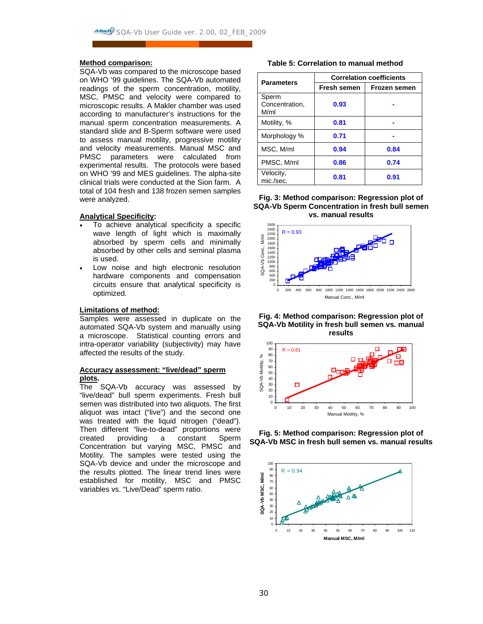#### **Method comparison:**

SQA-Vb was compared to the microscope based on WHO '99 guidelines. The SQA-Vb automated readings of the sperm concentration, motility, MSC, PMSC and velocity were compared to microscopic results. A Makler chamber was used according to manufacturer's instructions for the manual sperm concentration measurements. A standard slide and B-Sperm software were used to assess manual motility, progressive motility and velocity measurements. Manual MSC and PMSC parameters were calculated from experimental results. The protocols were based on WHO '99 and MES guidelines. The alpha-site clinical trials were conducted at the Sion farm. A total of 104 fresh and 138 frozen semen samples were analyzed.

#### **Analytical Specificity:**

- To achieve analytical specificity a specific wave length of light which is maximally absorbed by sperm cells and minimally absorbed by other cells and seminal plasma is used.
- Low noise and high electronic resolution hardware components and compensation circuits ensure that analytical specificity is optimized.

#### **Limitations of method:**

Samples were assessed in duplicate on the automated SQA-Vb system and manually using a microscope. Statistical counting errors and intra-operator variability (subjectivity) may have affected the results of the study.

#### **Accuracy assessment: "live/dead" sperm plots.**

The SQA-Vb accuracy was assessed by "live/dead" bull sperm experiments. Fresh bull semen was distributed into two aliquots. The first aliquot was intact ("live") and the second one was treated with the liquid nitrogen ("dead"). Then different "live-to-dead" proportions were created providing a constant Sperm Concentration but varying MSC, PMSC and Motility. The samples were tested using the SQA-Vb device and under the microscope and the results plotted. The linear trend lines were established for motility, MSC and PMSC variables vs. "Live/Dead" sperm ratio.

 **Table 5: Correlation to manual method** 

| <b>Parameters</b>               | <b>Correlation coefficients</b> |                     |  |  |
|---------------------------------|---------------------------------|---------------------|--|--|
|                                 | Fresh semen                     | <b>Frozen semen</b> |  |  |
| Sperm<br>Concentration,<br>M/ml | 0.93                            |                     |  |  |
| Motility, %                     | 0.81                            |                     |  |  |
| Morphology %                    | 0.71                            |                     |  |  |
| MSC, M/ml                       | 0.94                            | 0.84                |  |  |
| PMSC, M/ml                      | 0.86                            | 0.74                |  |  |
| Velocity,<br>mic./sec.          | 0.81                            | 0.91                |  |  |

**Fig. 3: Method comparison: Regression plot of SQA-Vb Sperm Concentration in fresh bull semen vs. manual results** 



**Fig. 4: Method comparison: Regression plot of SQA-Vb Motility in fresh bull semen vs. manual results** 



**Fig. 5: Method comparison: Regression plot of SQA-Vb MSC in fresh bull semen vs. manual results**